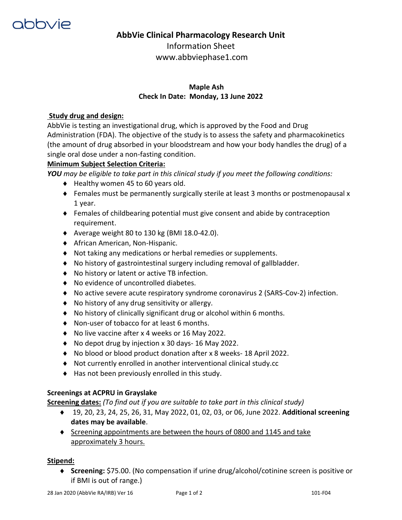

# **AbbVie Clinical Pharmacology Research Unit**

Information Sheet www.abbviephase1.com

# **Maple Ash Check In Date: Monday, 13 June 2022**

## **Study drug and design:**

AbbVie is testing an investigational drug, which is approved by the Food and Drug Administration (FDA). The objective of the study is to assess the safety and pharmacokinetics (the amount of drug absorbed in your bloodstream and how your body handles the drug) of a single oral dose under a non-fasting condition.

### **Minimum Subject Selection Criteria:**

*YOU may be eligible to take part in this clinical study if you meet the following conditions:* 

- $\blacklozenge$  Healthy women 45 to 60 years old.
- $\bullet$  Females must be permanently surgically sterile at least 3 months or postmenopausal x 1 year.
- Females of childbearing potential must give consent and abide by contraception requirement.
- $\blacklozenge$  Average weight 80 to 130 kg (BMI 18.0-42.0).
- ◆ African American, Non-Hispanic.
- Not taking any medications or herbal remedies or supplements.
- No history of gastrointestinal surgery including removal of gallbladder.
- ◆ No history or latent or active TB infection.
- ◆ No evidence of uncontrolled diabetes.
- No active severe acute respiratory syndrome coronavirus 2 (SARS-Cov-2) infection.
- No history of any drug sensitivity or allergy.
- No history of clinically significant drug or alcohol within 6 months.
- ◆ Non-user of tobacco for at least 6 months.
- ◆ No live vaccine after x 4 weeks or 16 May 2022.
- ◆ No depot drug by injection x 30 days- 16 May 2022.
- No blood or blood product donation after x 8 weeks- 18 April 2022.
- Not currently enrolled in another interventional clinical study.cc
- ◆ Has not been previously enrolled in this study.

#### **Screenings at ACPRU in Grayslake**

**Screening dates:** *(To find out if you are suitable to take part in this clinical study)*

- 19, 20, 23, 24, 25, 26, 31, May 2022, 01, 02, 03, or 06, June 2022. **Additional screening dates may be available**.
- Screening appointments are between the hours of 0800 and 1145 and take approximately 3 hours.

#### **Stipend:**

 **Screening:** \$75.00. (No compensation if urine drug/alcohol/cotinine screen is positive or if BMI is out of range.)